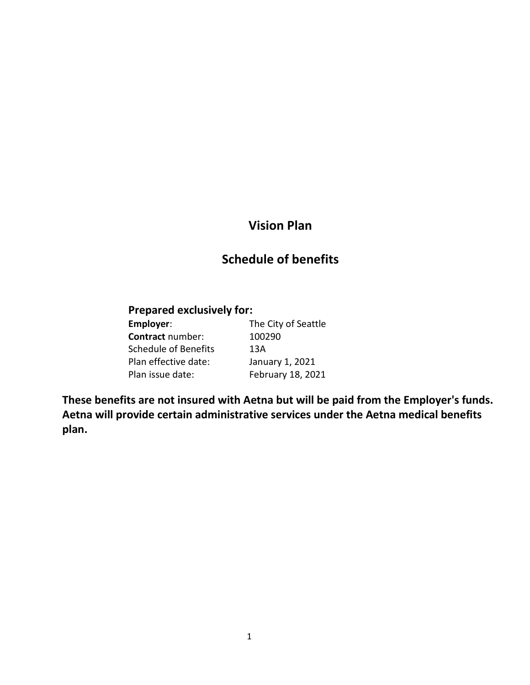## **Vision Plan**

## **Schedule of benefits**

### **Prepared exclusively for:**

| Employer:               | The City of Seattle |
|-------------------------|---------------------|
| <b>Contract number:</b> | 100290              |
| Schedule of Benefits    | 13A                 |
| Plan effective date:    | January 1, 2021     |
| Plan issue date:        | February 18, 2021   |

**These benefits are not insured with Aetna but will be paid from the Employer's funds. Aetna will provide certain administrative services under the Aetna medical benefits plan.**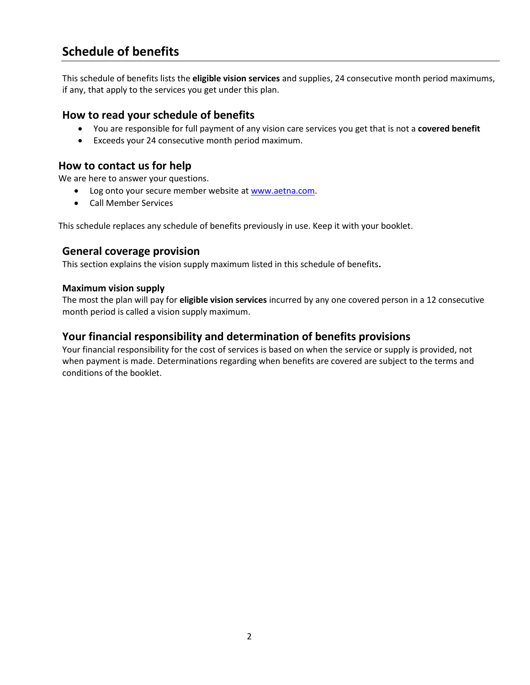## **Schedule of benefits**

This schedule of benefits lists the **eligible vision services** and supplies, 24 consecutive month period maximums, if any, that apply to the services you get under this plan.

#### **How to read your schedule of benefits**

- You are responsible for full payment of any vision care services you get that is not a **covered benefit**
- Exceeds your 24 consecutive month period maximum.

#### **How to contact us for help**

We are here to answer your questions.

- Log onto your secure member website at [www.aetna.com.](http://www.aetna.com/)
- Call Member Services

This schedule replaces any schedule of benefits previously in use. Keep it with your booklet.

#### **General coverage provision**

This section explains the vision supply maximum listed in this schedule of benefits**.**

#### **Maximum vision supply**

The most the plan will pay for **eligible vision services** incurred by any one covered person in a 12 consecutive month period is called a vision supply maximum.

#### **Your financial responsibility and determination of benefits provisions**

Your financial responsibility for the cost of services is based on when the service or supply is provided, not when payment is made. Determinations regarding when benefits are covered are subject to the terms and conditions of the booklet.